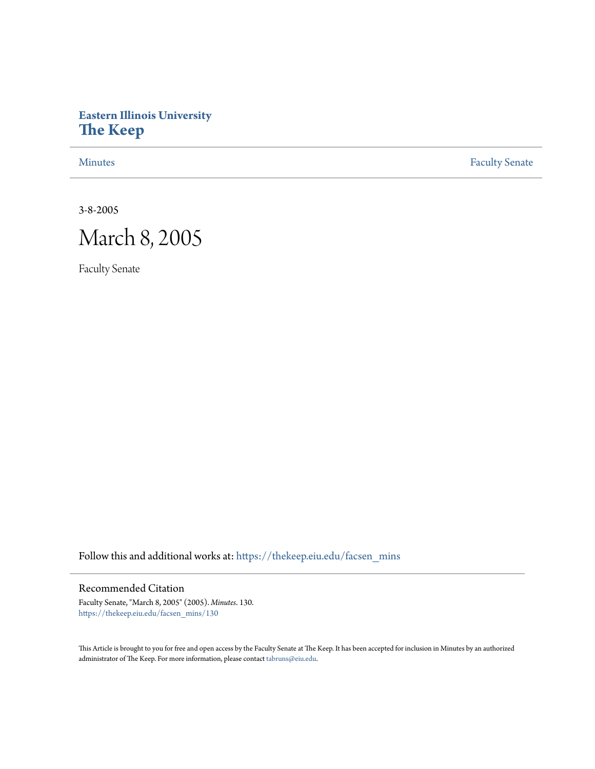## **Eastern Illinois University [The Keep](https://thekeep.eiu.edu?utm_source=thekeep.eiu.edu%2Ffacsen_mins%2F130&utm_medium=PDF&utm_campaign=PDFCoverPages)**

[Minutes](https://thekeep.eiu.edu/facsen_mins?utm_source=thekeep.eiu.edu%2Ffacsen_mins%2F130&utm_medium=PDF&utm_campaign=PDFCoverPages) **[Faculty Senate](https://thekeep.eiu.edu/fac_senate?utm_source=thekeep.eiu.edu%2Ffacsen_mins%2F130&utm_medium=PDF&utm_campaign=PDFCoverPages)** 

3-8-2005

# March 8, 2005

Faculty Senate

Follow this and additional works at: [https://thekeep.eiu.edu/facsen\\_mins](https://thekeep.eiu.edu/facsen_mins?utm_source=thekeep.eiu.edu%2Ffacsen_mins%2F130&utm_medium=PDF&utm_campaign=PDFCoverPages)

## Recommended Citation

Faculty Senate, "March 8, 2005" (2005). *Minutes*. 130. [https://thekeep.eiu.edu/facsen\\_mins/130](https://thekeep.eiu.edu/facsen_mins/130?utm_source=thekeep.eiu.edu%2Ffacsen_mins%2F130&utm_medium=PDF&utm_campaign=PDFCoverPages)

This Article is brought to you for free and open access by the Faculty Senate at The Keep. It has been accepted for inclusion in Minutes by an authorized administrator of The Keep. For more information, please contact [tabruns@eiu.edu.](mailto:tabruns@eiu.edu)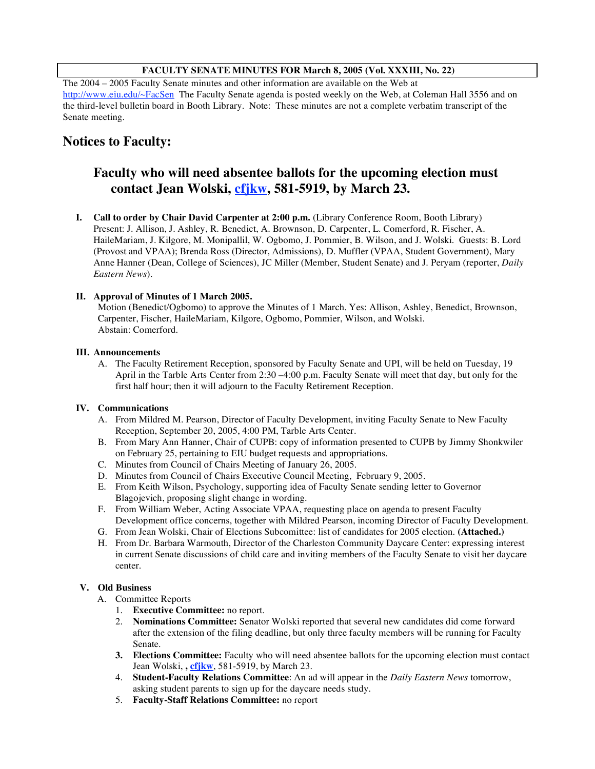#### **FACULTY SENATE MINUTES FOR March 8, 2005 (Vol. XXXIII, No. 22)**

The 2004 – 2005 Faculty Senate minutes and other information are available on the Web at http://www.eiu.edu/~FacSen The Faculty Senate agenda is posted weekly on the Web, at Coleman Hall 3556 and on the third-level bulletin board in Booth Library. Note: These minutes are not a complete verbatim transcript of the Senate meeting.

## **Notices to Faculty:**

## **Faculty who will need absentee ballots for the upcoming election must contact Jean Wolski, cfjkw, 581-5919, by March 23.**

**I. Call to order by Chair David Carpenter at 2:00 p.m.** (Library Conference Room, Booth Library) Present: J. Allison, J. Ashley, R. Benedict, A. Brownson, D. Carpenter, L. Comerford, R. Fischer, A. HaileMariam, J. Kilgore, M. Monipallil, W. Ogbomo, J. Pommier, B. Wilson, and J. Wolski. Guests: B. Lord (Provost and VPAA); Brenda Ross (Director, Admissions), D. Muffler (VPAA, Student Government), Mary Anne Hanner (Dean, College of Sciences), JC Miller (Member, Student Senate) and J. Peryam (reporter, *Daily Eastern News*).

#### **II. Approval of Minutes of 1 March 2005.**

Motion (Benedict/Ogbomo) to approve the Minutes of 1 March. Yes: Allison, Ashley, Benedict, Brownson, Carpenter, Fischer, HaileMariam, Kilgore, Ogbomo, Pommier, Wilson, and Wolski. Abstain: Comerford.

#### **III. Announcements**

A. The Faculty Retirement Reception, sponsored by Faculty Senate and UPI, will be held on Tuesday, 19 April in the Tarble Arts Center from 2:30 –4:00 p.m. Faculty Senate will meet that day, but only for the first half hour; then it will adjourn to the Faculty Retirement Reception.

#### **IV. Communications**

- A. From Mildred M. Pearson, Director of Faculty Development, inviting Faculty Senate to New Faculty Reception, September 20, 2005, 4:00 PM, Tarble Arts Center.
- B. From Mary Ann Hanner, Chair of CUPB: copy of information presented to CUPB by Jimmy Shonkwiler on February 25, pertaining to EIU budget requests and appropriations.
- C. Minutes from Council of Chairs Meeting of January 26, 2005.
- D. Minutes from Council of Chairs Executive Council Meeting, February 9, 2005.
- E. From Keith Wilson, Psychology, supporting idea of Faculty Senate sending letter to Governor Blagojevich, proposing slight change in wording.
- F. From William Weber, Acting Associate VPAA, requesting place on agenda to present Faculty Development office concerns, together with Mildred Pearson, incoming Director of Faculty Development.
- G. From Jean Wolski, Chair of Elections Subcomittee: list of candidates for 2005 election. **(Attached.)**
- H. From Dr. Barbara Warmouth, Director of the Charleston Community Daycare Center: expressing interest in current Senate discussions of child care and inviting members of the Faculty Senate to visit her daycare center.

### **V. Old Business**

- A. Committee Reports
	- 1. **Executive Committee:** no report.
	- 2. **Nominations Committee:** Senator Wolski reported that several new candidates did come forward after the extension of the filing deadline, but only three faculty members will be running for Faculty Senate.
	- **3. Elections Committee:** Faculty who will need absentee ballots for the upcoming election must contact Jean Wolski, **, cfjkw**, 581-5919, by March 23.
	- 4. **Student-Faculty Relations Committee**: An ad will appear in the *Daily Eastern News* tomorrow, asking student parents to sign up for the daycare needs study.
	- 5. **Faculty-Staff Relations Committee:** no report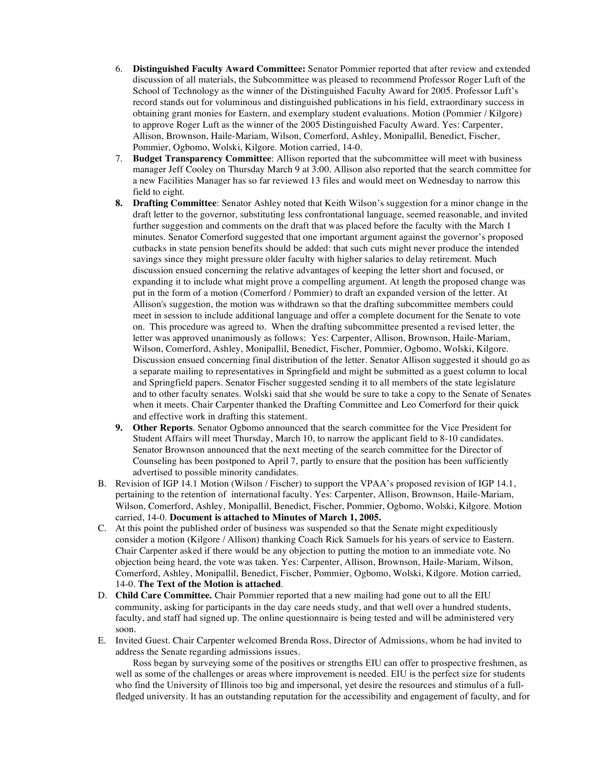- 6. **Distinguished Faculty Award Committee:** Senator Pommier reported that after review and extended discussion of all materials, the Subcommittee was pleased to recommend Professor Roger Luft of the School of Technology as the winner of the Distinguished Faculty Award for 2005. Professor Luft's record stands out for voluminous and distinguished publications in his field, extraordinary success in obtaining grant monies for Eastern, and exemplary student evaluations. Motion (Pommier / Kilgore) to approve Roger Luft as the winner of the 2005 Distinguished Faculty Award. Yes: Carpenter, Allison, Brownson, Haile-Mariam, Wilson, Comerford, Ashley, Monipallil, Benedict, Fischer, Pommier, Ogbomo, Wolski, Kilgore. Motion carried, 14-0.
- 7. **Budget Transparency Committee**: Allison reported that the subcommittee will meet with business manager Jeff Cooley on Thursday March 9 at 3:00. Allison also reported that the search committee for a new Facilities Manager has so far reviewed 13 files and would meet on Wednesday to narrow this field to eight.
- **8. Drafting Committee**: Senator Ashley noted that Keith Wilson's suggestion for a minor change in the draft letter to the governor, substituting less confrontational language, seemed reasonable, and invited further suggestion and comments on the draft that was placed before the faculty with the March 1 minutes. Senator Comerford suggested that one important argument against the governor's proposed cutbacks in state pension benefits should be added: that such cuts might never produce the intended savings since they might pressure older faculty with higher salaries to delay retirement. Much discussion ensued concerning the relative advantages of keeping the letter short and focused, or expanding it to include what might prove a compelling argument. At length the proposed change was put in the form of a motion (Comerford / Pommier) to draft an expanded version of the letter. At Allison's suggestion, the motion was withdrawn so that the drafting subcommittee members could meet in session to include additional language and offer a complete document for the Senate to vote on. This procedure was agreed to. When the drafting subcommittee presented a revised letter, the letter was approved unanimously as follows: Yes: Carpenter, Allison, Brownson, Haile-Mariam, Wilson, Comerford, Ashley, Monipallil, Benedict, Fischer, Pommier, Ogbomo, Wolski, Kilgore. Discussion ensued concerning final distribution of the letter. Senator Allison suggested it should go as a separate mailing to representatives in Springfield and might be submitted as a guest column to local and Springfield papers. Senator Fischer suggested sending it to all members of the state legislature and to other faculty senates. Wolski said that she would be sure to take a copy to the Senate of Senates when it meets. Chair Carpenter thanked the Drafting Committee and Leo Comerford for their quick and effective work in drafting this statement.
- **9. Other Reports**. Senator Ogbomo announced that the search committee for the Vice President for Student Affairs will meet Thursday, March 10, to narrow the applicant field to 8-10 candidates. Senator Brownson announced that the next meeting of the search committee for the Director of Counseling has been postponed to April 7, partly to ensure that the position has been sufficiently advertised to possible minority candidates.
- B. Revision of IGP 14.1 Motion (Wilson / Fischer) to support the VPAA's proposed revision of IGP 14.1, pertaining to the retention of international faculty. Yes: Carpenter, Allison, Brownson, Haile-Mariam, Wilson, Comerford, Ashley, Monipallil, Benedict, Fischer, Pommier, Ogbomo, Wolski, Kilgore. Motion carried, 14-0. **Document is attached to Minutes of March 1, 2005.**
- C. At this point the published order of business was suspended so that the Senate might expeditiously consider a motion (Kilgore / Allison) thanking Coach Rick Samuels for his years of service to Eastern. Chair Carpenter asked if there would be any objection to putting the motion to an immediate vote. No objection being heard, the vote was taken. Yes: Carpenter, Allison, Brownson, Haile-Mariam, Wilson, Comerford, Ashley, Monipallil, Benedict, Fischer, Pommier, Ogbomo, Wolski, Kilgore. Motion carried, 14-0. **The Text of the Motion is attached**.
- D. **Child Care Committee.** Chair Pommier reported that a new mailing had gone out to all the EIU community, asking for participants in the day care needs study, and that well over a hundred students, faculty, and staff had signed up. The online questionnaire is being tested and will be administered very soon.
- E. Invited Guest. Chair Carpenter welcomed Brenda Ross, Director of Admissions, whom he had invited to address the Senate regarding admissions issues.

Ross began by surveying some of the positives or strengths EIU can offer to prospective freshmen, as well as some of the challenges or areas where improvement is needed. EIU is the perfect size for students who find the University of Illinois too big and impersonal, yet desire the resources and stimulus of a fullfledged university. It has an outstanding reputation for the accessibility and engagement of faculty, and for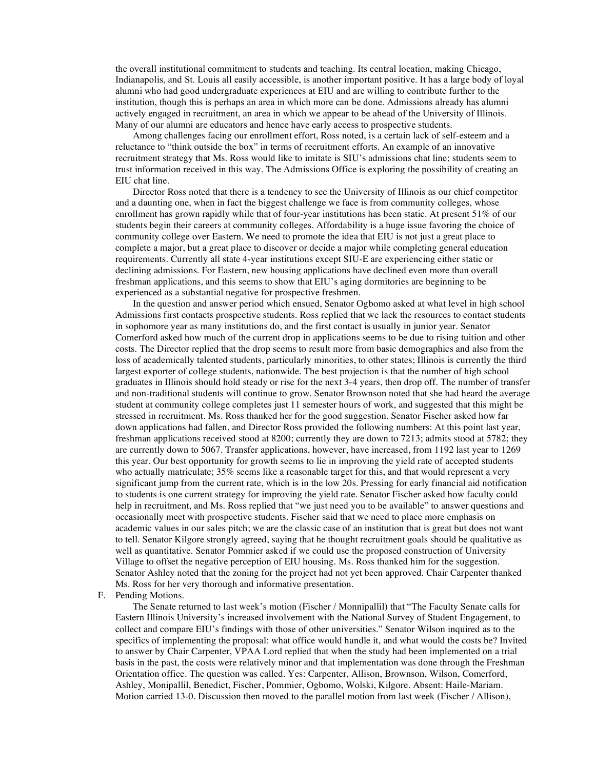the overall institutional commitment to students and teaching. Its central location, making Chicago, Indianapolis, and St. Louis all easily accessible, is another important positive. It has a large body of loyal alumni who had good undergraduate experiences at EIU and are willing to contribute further to the institution, though this is perhaps an area in which more can be done. Admissions already has alumni actively engaged in recruitment, an area in which we appear to be ahead of the University of Illinois. Many of our alumni are educators and hence have early access to prospective students.

Among challenges facing our enrollment effort, Ross noted, is a certain lack of self-esteem and a reluctance to "think outside the box" in terms of recruitment efforts. An example of an innovative recruitment strategy that Ms. Ross would like to imitate is SIU's admissions chat line; students seem to trust information received in this way. The Admissions Office is exploring the possibility of creating an EIU chat line.

Director Ross noted that there is a tendency to see the University of Illinois as our chief competitor and a daunting one, when in fact the biggest challenge we face is from community colleges, whose enrollment has grown rapidly while that of four-year institutions has been static. At present 51% of our students begin their careers at community colleges. Affordability is a huge issue favoring the choice of community college over Eastern. We need to promote the idea that EIU is not just a great place to complete a major, but a great place to discover or decide a major while completing general education requirements. Currently all state 4-year institutions except SIU-E are experiencing either static or declining admissions. For Eastern, new housing applications have declined even more than overall freshman applications, and this seems to show that EIU's aging dormitories are beginning to be experienced as a substantial negative for prospective freshmen.

In the question and answer period which ensued, Senator Ogbomo asked at what level in high school Admissions first contacts prospective students. Ross replied that we lack the resources to contact students in sophomore year as many institutions do, and the first contact is usually in junior year. Senator Comerford asked how much of the current drop in applications seems to be due to rising tuition and other costs. The Director replied that the drop seems to result more from basic demographics and also from the loss of academically talented students, particularly minorities, to other states; Illinois is currently the third largest exporter of college students, nationwide. The best projection is that the number of high school graduates in Illinois should hold steady or rise for the next 3-4 years, then drop off. The number of transfer and non-traditional students will continue to grow. Senator Brownson noted that she had heard the average student at community college completes just 11 semester hours of work, and suggested that this might be stressed in recruitment. Ms. Ross thanked her for the good suggestion. Senator Fischer asked how far down applications had fallen, and Director Ross provided the following numbers: At this point last year, freshman applications received stood at 8200; currently they are down to 7213; admits stood at 5782; they are currently down to 5067. Transfer applications, however, have increased, from 1192 last year to 1269 this year. Our best opportunity for growth seems to lie in improving the yield rate of accepted students who actually matriculate; 35% seems like a reasonable target for this, and that would represent a very significant jump from the current rate, which is in the low 20s. Pressing for early financial aid notification to students is one current strategy for improving the yield rate. Senator Fischer asked how faculty could help in recruitment, and Ms. Ross replied that "we just need you to be available" to answer questions and occasionally meet with prospective students. Fischer said that we need to place more emphasis on academic values in our sales pitch; we are the classic case of an institution that is great but does not want to tell. Senator Kilgore strongly agreed, saying that he thought recruitment goals should be qualitative as well as quantitative. Senator Pommier asked if we could use the proposed construction of University Village to offset the negative perception of EIU housing. Ms. Ross thanked him for the suggestion. Senator Ashley noted that the zoning for the project had not yet been approved. Chair Carpenter thanked Ms. Ross for her very thorough and informative presentation.

#### F. Pending Motions.

The Senate returned to last week's motion (Fischer / Monnipallil) that "The Faculty Senate calls for Eastern Illinois University's increased involvement with the National Survey of Student Engagement, to collect and compare EIU's findings with those of other universities." Senator Wilson inquired as to the specifics of implementing the proposal: what office would handle it, and what would the costs be? Invited to answer by Chair Carpenter, VPAA Lord replied that when the study had been implemented on a trial basis in the past, the costs were relatively minor and that implementation was done through the Freshman Orientation office. The question was called. Yes: Carpenter, Allison, Brownson, Wilson, Comerford, Ashley, Monipallil, Benedict, Fischer, Pommier, Ogbomo, Wolski, Kilgore. Absent: Haile-Mariam. Motion carried 13-0. Discussion then moved to the parallel motion from last week (Fischer / Allison),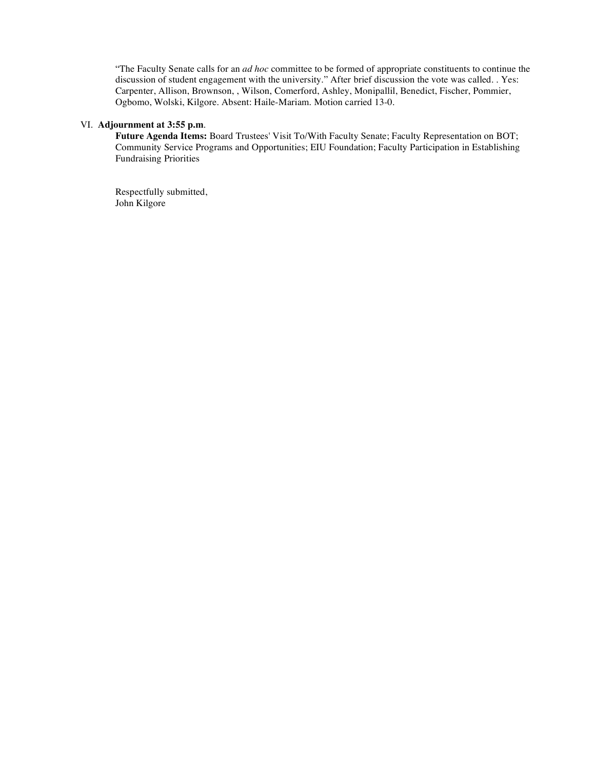"The Faculty Senate calls for an *ad hoc* committee to be formed of appropriate constituents to continue the discussion of student engagement with the university." After brief discussion the vote was called. . Yes: Carpenter, Allison, Brownson, , Wilson, Comerford, Ashley, Monipallil, Benedict, Fischer, Pommier, Ogbomo, Wolski, Kilgore. Absent: Haile-Mariam. Motion carried 13-0.

#### VI. **Adjournment at 3:55 p.m**.

**Future Agenda Items:** Board Trustees' Visit To/With Faculty Senate; Faculty Representation on BOT; Community Service Programs and Opportunities; EIU Foundation; Faculty Participation in Establishing Fundraising Priorities

Respectfully submitted, John Kilgore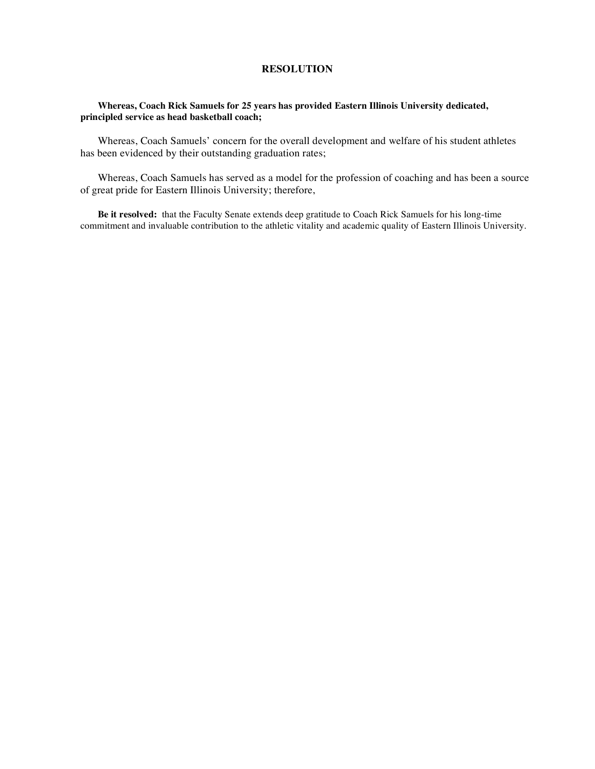#### **RESOLUTION**

#### **Whereas, Coach Rick Samuels for 25 years has provided Eastern Illinois University dedicated, principled service as head basketball coach;**

Whereas, Coach Samuels' concern for the overall development and welfare of his student athletes has been evidenced by their outstanding graduation rates;

Whereas, Coach Samuels has served as a model for the profession of coaching and has been a source of great pride for Eastern Illinois University; therefore,

**Be it resolved:** that the Faculty Senate extends deep gratitude to Coach Rick Samuels for his long-time commitment and invaluable contribution to the athletic vitality and academic quality of Eastern Illinois University.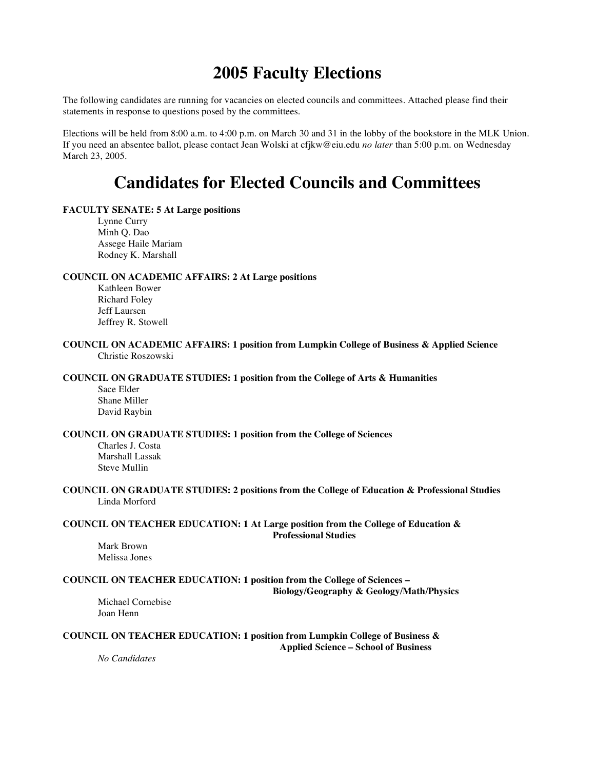## **2005 Faculty Elections**

The following candidates are running for vacancies on elected councils and committees. Attached please find their statements in response to questions posed by the committees.

Elections will be held from 8:00 a.m. to 4:00 p.m. on March 30 and 31 in the lobby of the bookstore in the MLK Union. If you need an absentee ballot, please contact Jean Wolski at cfjkw@eiu.edu *no later* than 5:00 p.m. on Wednesday March 23, 2005.

## **Candidates for Elected Councils and Committees**

**FACULTY SENATE: 5 At Large positions**

Lynne Curry Minh Q. Dao Assege Haile Mariam Rodney K. Marshall

#### **COUNCIL ON ACADEMIC AFFAIRS: 2 At Large positions**

Kathleen Bower Richard Foley Jeff Laursen Jeffrey R. Stowell

**COUNCIL ON ACADEMIC AFFAIRS: 1 position from Lumpkin College of Business & Applied Science** Christie Roszowski

#### **COUNCIL ON GRADUATE STUDIES: 1 position from the College of Arts & Humanities**

Sace Elder Shane Miller David Raybin

**COUNCIL ON GRADUATE STUDIES: 1 position from the College of Sciences**

Charles J. Costa Marshall Lassak Steve Mullin

**COUNCIL ON GRADUATE STUDIES: 2 positions from the College of Education & Professional Studies** Linda Morford

#### **COUNCIL ON TEACHER EDUCATION: 1 At Large position from the College of Education & Professional Studies**

Mark Brown Melissa Jones

#### **COUNCIL ON TEACHER EDUCATION: 1 position from the College of Sciences –**

**Biology/Geography & Geology/Math/Physics**

Michael Cornebise Joan Henn

#### **COUNCIL ON TEACHER EDUCATION: 1 position from Lumpkin College of Business &**

**Applied Science – School of Business**

*No Candidates*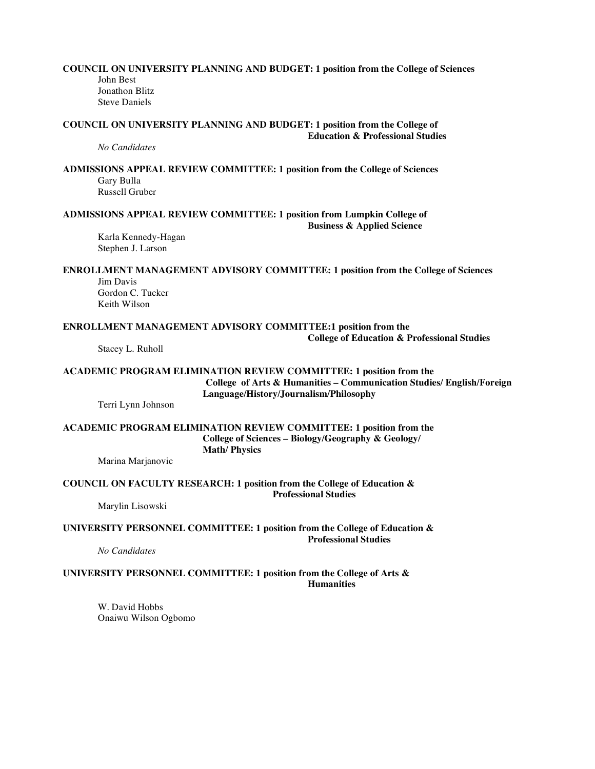**COUNCIL ON UNIVERSITY PLANNING AND BUDGET: 1 position from the College of Sciences** John Best Jonathon Blitz Steve Daniels **COUNCIL ON UNIVERSITY PLANNING AND BUDGET: 1 position from the College of Education & Professional Studies** *No Candidates* **ADMISSIONS APPEAL REVIEW COMMITTEE: 1 position from the College of Sciences** Gary Bulla Russell Gruber **ADMISSIONS APPEAL REVIEW COMMITTEE: 1 position from Lumpkin College of Business & Applied Science** Karla Kennedy-Hagan Stephen J. Larson **ENROLLMENT MANAGEMENT ADVISORY COMMITTEE: 1 position from the College of Sciences** Jim Davis Gordon C. Tucker Keith Wilson **ENROLLMENT MANAGEMENT ADVISORY COMMITTEE:1 position from the College of Education & Professional Studies** Stacey L. Ruholl **ACADEMIC PROGRAM ELIMINATION REVIEW COMMITTEE: 1 position from the College of Arts & Humanities – Communication Studies/ English/Foreign Language/History/Journalism/Philosophy** Terri Lynn Johnson **ACADEMIC PROGRAM ELIMINATION REVIEW COMMITTEE: 1 position from the College of Sciences – Biology/Geography & Geology/ Math/ Physics** Marina Marjanovic **COUNCIL ON FACULTY RESEARCH: 1 position from the College of Education & Professional Studies** Marylin Lisowski **UNIVERSITY PERSONNEL COMMITTEE: 1 position from the College of Education & Professional Studies** *No Candidates* **UNIVERSITY PERSONNEL COMMITTEE: 1 position from the College of Arts & Humanities** W. David Hobbs Onaiwu Wilson Ogbomo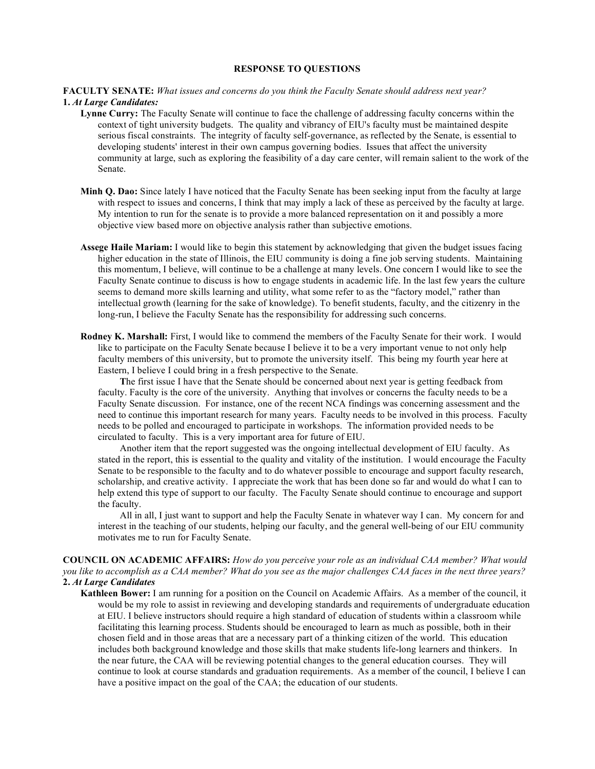#### **RESPONSE TO QUESTIONS**

#### **FACULTY SENATE:** *What issues and concerns do you think the Faculty Senate should address next year?* **1.** *At Large Candidates:*

- **Lynne Curry:** The Faculty Senate will continue to face the challenge of addressing faculty concerns within the context of tight university budgets. The quality and vibrancy of EIU's faculty must be maintained despite serious fiscal constraints. The integrity of faculty self-governance, as reflected by the Senate, is essential to developing students' interest in their own campus governing bodies. Issues that affect the university community at large, such as exploring the feasibility of a day care center, will remain salient to the work of the Senate.
- **Minh Q. Dao:** Since lately I have noticed that the Faculty Senate has been seeking input from the faculty at large with respect to issues and concerns, I think that may imply a lack of these as perceived by the faculty at large. My intention to run for the senate is to provide a more balanced representation on it and possibly a more objective view based more on objective analysis rather than subjective emotions.
- **Assege Haile Mariam:** I would like to begin this statement by acknowledging that given the budget issues facing higher education in the state of Illinois, the EIU community is doing a fine job serving students. Maintaining this momentum, I believe, will continue to be a challenge at many levels. One concern I would like to see the Faculty Senate continue to discuss is how to engage students in academic life. In the last few years the culture seems to demand more skills learning and utility, what some refer to as the "factory model," rather than intellectual growth (learning for the sake of knowledge). To benefit students, faculty, and the citizenry in the long-run, I believe the Faculty Senate has the responsibility for addressing such concerns.
- **Rodney K. Marshall:** First, I would like to commend the members of the Faculty Senate for their work. I would like to participate on the Faculty Senate because I believe it to be a very important venue to not only help faculty members of this university, but to promote the university itself. This being my fourth year here at Eastern, I believe I could bring in a fresh perspective to the Senate.

**T**he first issue I have that the Senate should be concerned about next year is getting feedback from faculty. Faculty is the core of the university. Anything that involves or concerns the faculty needs to be a Faculty Senate discussion. For instance, one of the recent NCA findings was concerning assessment and the need to continue this important research for many years. Faculty needs to be involved in this process. Faculty needs to be polled and encouraged to participate in workshops. The information provided needs to be circulated to faculty. This is a very important area for future of EIU.

Another item that the report suggested was the ongoing intellectual development of EIU faculty. As stated in the report, this is essential to the quality and vitality of the institution. I would encourage the Faculty Senate to be responsible to the faculty and to do whatever possible to encourage and support faculty research, scholarship, and creative activity. I appreciate the work that has been done so far and would do what I can to help extend this type of support to our faculty. The Faculty Senate should continue to encourage and support the faculty.

All in all, I just want to support and help the Faculty Senate in whatever way I can. My concern for and interest in the teaching of our students, helping our faculty, and the general well-being of our EIU community motivates me to run for Faculty Senate.

**COUNCIL ON ACADEMIC AFFAIRS:** *How do you perceive your role as an individual CAA member? What would* you like to accomplish as a CAA member? What do you see as the major challenges CAA faces in the next three years? **2.** *At Large Candidates*

**Kathleen Bower:** I am running for a position on the Council on Academic Affairs. As a member of the council, it would be my role to assist in reviewing and developing standards and requirements of undergraduate education at EIU. I believe instructors should require a high standard of education of students within a classroom while facilitating this learning process. Students should be encouraged to learn as much as possible, both in their chosen field and in those areas that are a necessary part of a thinking citizen of the world. This education includes both background knowledge and those skills that make students life-long learners and thinkers. In the near future, the CAA will be reviewing potential changes to the general education courses. They will continue to look at course standards and graduation requirements. As a member of the council, I believe I can have a positive impact on the goal of the CAA; the education of our students.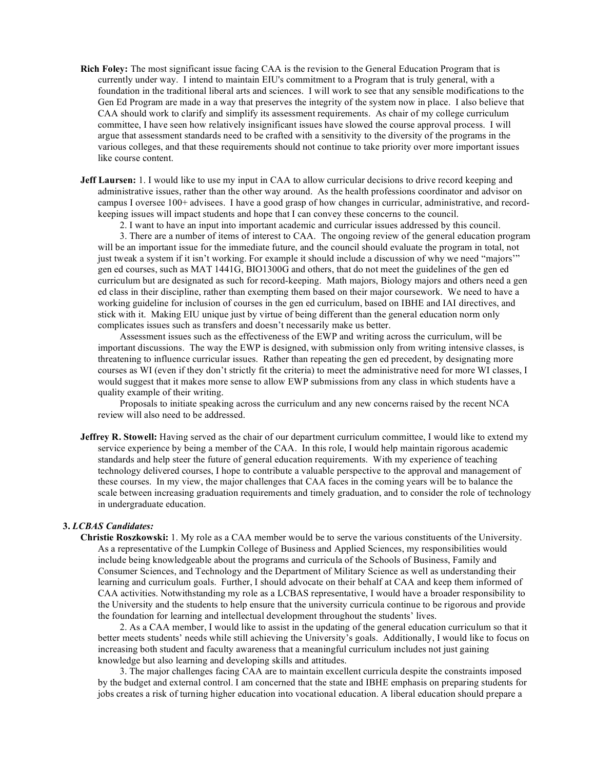- **Rich Foley:** The most significant issue facing CAA is the revision to the General Education Program that is currently under way. I intend to maintain EIU's commitment to a Program that is truly general, with a foundation in the traditional liberal arts and sciences. I will work to see that any sensible modifications to the Gen Ed Program are made in a way that preserves the integrity of the system now in place. I also believe that CAA should work to clarify and simplify its assessment requirements. As chair of my college curriculum committee, I have seen how relatively insignificant issues have slowed the course approval process. I will argue that assessment standards need to be crafted with a sensitivity to the diversity of the programs in the various colleges, and that these requirements should not continue to take priority over more important issues like course content.
- **Jeff Laursen:** 1. I would like to use my input in CAA to allow curricular decisions to drive record keeping and administrative issues, rather than the other way around. As the health professions coordinator and advisor on campus I oversee 100+ advisees. I have a good grasp of how changes in curricular, administrative, and recordkeeping issues will impact students and hope that I can convey these concerns to the council.

2. I want to have an input into important academic and curricular issues addressed by this council.

3. There are a number of items of interest to CAA. The ongoing review of the general education program will be an important issue for the immediate future, and the council should evaluate the program in total, not just tweak a system if it isn't working. For example it should include a discussion of why we need "majors'" gen ed courses, such as MAT 1441G, BIO1300G and others, that do not meet the guidelines of the gen ed curriculum but are designated as such for record-keeping. Math majors, Biology majors and others need a gen ed class in their discipline, rather than exempting them based on their major coursework. We need to have a working guideline for inclusion of courses in the gen ed curriculum, based on IBHE and IAI directives, and stick with it. Making EIU unique just by virtue of being different than the general education norm only complicates issues such as transfers and doesn't necessarily make us better.

Assessment issues such as the effectiveness of the EWP and writing across the curriculum, will be important discussions. The way the EWP is designed, with submission only from writing intensive classes, is threatening to influence curricular issues. Rather than repeating the gen ed precedent, by designating more courses as WI (even if they don't strictly fit the criteria) to meet the administrative need for more WI classes, I would suggest that it makes more sense to allow EWP submissions from any class in which students have a quality example of their writing.

Proposals to initiate speaking across the curriculum and any new concerns raised by the recent NCA review will also need to be addressed.

**Jeffrey R. Stowell:** Having served as the chair of our department curriculum committee, I would like to extend my service experience by being a member of the CAA. In this role, I would help maintain rigorous academic standards and help steer the future of general education requirements. With my experience of teaching technology delivered courses, I hope to contribute a valuable perspective to the approval and management of these courses. In my view, the major challenges that CAA faces in the coming years will be to balance the scale between increasing graduation requirements and timely graduation, and to consider the role of technology in undergraduate education.

#### **3.** *LCBAS Candidates:*

**Christie Roszkowski:** 1. My role as a CAA member would be to serve the various constituents of the University. As a representative of the Lumpkin College of Business and Applied Sciences, my responsibilities would include being knowledgeable about the programs and curricula of the Schools of Business, Family and Consumer Sciences, and Technology and the Department of Military Science as well as understanding their learning and curriculum goals. Further, I should advocate on their behalf at CAA and keep them informed of CAA activities. Notwithstanding my role as a LCBAS representative, I would have a broader responsibility to the University and the students to help ensure that the university curricula continue to be rigorous and provide the foundation for learning and intellectual development throughout the students' lives.

2. As a CAA member, I would like to assist in the updating of the general education curriculum so that it better meets students' needs while still achieving the University's goals. Additionally, I would like to focus on increasing both student and faculty awareness that a meaningful curriculum includes not just gaining knowledge but also learning and developing skills and attitudes.

3. The major challenges facing CAA are to maintain excellent curricula despite the constraints imposed by the budget and external control. I am concerned that the state and IBHE emphasis on preparing students for jobs creates a risk of turning higher education into vocational education. A liberal education should prepare a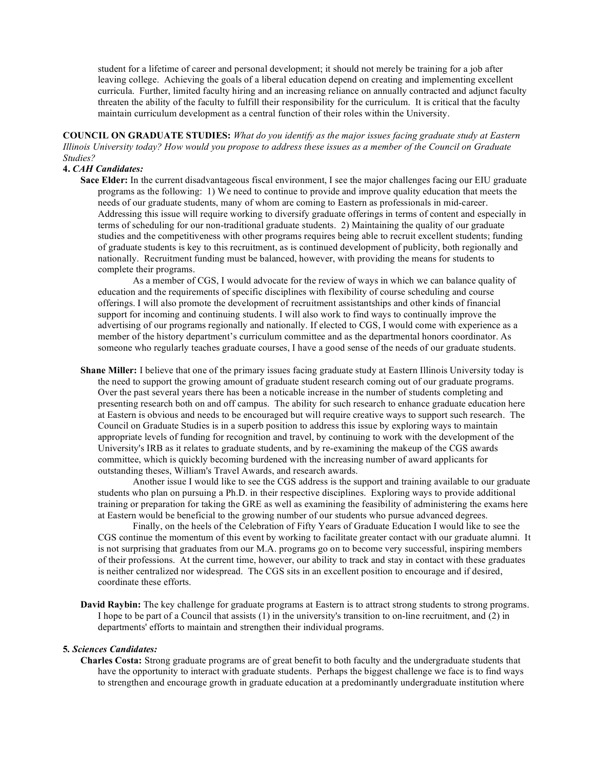student for a lifetime of career and personal development; it should not merely be training for a job after leaving college. Achieving the goals of a liberal education depend on creating and implementing excellent curricula. Further, limited faculty hiring and an increasing reliance on annually contracted and adjunct faculty threaten the ability of the faculty to fulfill their responsibility for the curriculum. It is critical that the faculty maintain curriculum development as a central function of their roles within the University.

**COUNCIL ON GRADUATE STUDIES:** *What do you identify as the major issues facing graduate study at Eastern* Illinois University today? How would you propose to address these issues as a member of the Council on Graduate *Studies?*

#### **4.** *CAH Candidates:*

**Sace Elder:** In the current disadvantageous fiscal environment, I see the major challenges facing our EIU graduate programs as the following: 1) We need to continue to provide and improve quality education that meets the needs of our graduate students, many of whom are coming to Eastern as professionals in mid-career. Addressing this issue will require working to diversify graduate offerings in terms of content and especially in terms of scheduling for our non-traditional graduate students. 2) Maintaining the quality of our graduate studies and the competitiveness with other programs requires being able to recruit excellent students; funding of graduate students is key to this recruitment, as is continued development of publicity, both regionally and nationally. Recruitment funding must be balanced, however, with providing the means for students to complete their programs.

As a member of CGS, I would advocate for the review of ways in which we can balance quality of education and the requirements of specific disciplines with flexibility of course scheduling and course offerings. I will also promote the development of recruitment assistantships and other kinds of financial support for incoming and continuing students. I will also work to find ways to continually improve the advertising of our programs regionally and nationally. If elected to CGS, I would come with experience as a member of the history department's curriculum committee and as the departmental honors coordinator. As someone who regularly teaches graduate courses, I have a good sense of the needs of our graduate students.

**Shane Miller:** I believe that one of the primary issues facing graduate study at Eastern Illinois University today is the need to support the growing amount of graduate student research coming out of our graduate programs. Over the past several years there has been a noticable increase in the number of students completing and presenting research both on and off campus. The ability for such research to enhance graduate education here at Eastern is obvious and needs to be encouraged but will require creative ways to support such research. The Council on Graduate Studies is in a superb position to address this issue by exploring ways to maintain appropriate levels of funding for recognition and travel, by continuing to work with the development of the University's IRB as it relates to graduate students, and by re-examining the makeup of the CGS awards committee, which is quickly becoming burdened with the increasing number of award applicants for outstanding theses, William's Travel Awards, and research awards.

Another issue I would like to see the CGS address is the support and training available to our graduate students who plan on pursuing a Ph.D. in their respective disciplines. Exploring ways to provide additional training or preparation for taking the GRE as well as examining the feasibility of administering the exams here at Eastern would be beneficial to the growing number of our students who pursue advanced degrees.

Finally, on the heels of the Celebration of Fifty Years of Graduate Education I would like to see the CGS continue the momentum of this event by working to facilitate greater contact with our graduate alumni. It is not surprising that graduates from our M.A. programs go on to become very successful, inspiring members of their professions. At the current time, however, our ability to track and stay in contact with these graduates is neither centralized nor widespread. The CGS sits in an excellent position to encourage and if desired, coordinate these efforts.

**David Raybin:** The key challenge for graduate programs at Eastern is to attract strong students to strong programs. I hope to be part of a Council that assists (1) in the university's transition to on-line recruitment, and (2) in departments' efforts to maintain and strengthen their individual programs.

#### **5***. Sciences Candidates:*

**Charles Costa:** Strong graduate programs are of great benefit to both faculty and the undergraduate students that have the opportunity to interact with graduate students. Perhaps the biggest challenge we face is to find ways to strengthen and encourage growth in graduate education at a predominantly undergraduate institution where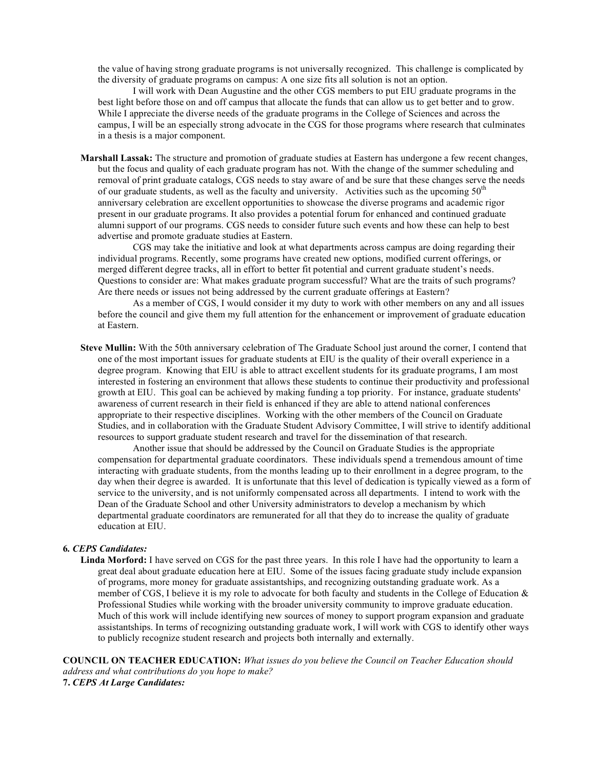the value of having strong graduate programs is not universally recognized. This challenge is complicated by the diversity of graduate programs on campus: A one size fits all solution is not an option.

I will work with Dean Augustine and the other CGS members to put EIU graduate programs in the best light before those on and off campus that allocate the funds that can allow us to get better and to grow. While I appreciate the diverse needs of the graduate programs in the College of Sciences and across the campus, I will be an especially strong advocate in the CGS for those programs where research that culminates in a thesis is a major component.

**Marshall Lassak:** The structure and promotion of graduate studies at Eastern has undergone a few recent changes, but the focus and quality of each graduate program has not. With the change of the summer scheduling and removal of print graduate catalogs, CGS needs to stay aware of and be sure that these changes serve the needs of our graduate students, as well as the faculty and university. Activities such as the upcoming  $50<sup>th</sup>$ anniversary celebration are excellent opportunities to showcase the diverse programs and academic rigor present in our graduate programs. It also provides a potential forum for enhanced and continued graduate alumni support of our programs. CGS needs to consider future such events and how these can help to best advertise and promote graduate studies at Eastern.

CGS may take the initiative and look at what departments across campus are doing regarding their individual programs. Recently, some programs have created new options, modified current offerings, or merged different degree tracks, all in effort to better fit potential and current graduate student's needs. Questions to consider are: What makes graduate program successful? What are the traits of such programs? Are there needs or issues not being addressed by the current graduate offerings at Eastern?

As a member of CGS, I would consider it my duty to work with other members on any and all issues before the council and give them my full attention for the enhancement or improvement of graduate education at Eastern.

**Steve Mullin:** With the 50th anniversary celebration of The Graduate School just around the corner, I contend that one of the most important issues for graduate students at EIU is the quality of their overall experience in a degree program. Knowing that EIU is able to attract excellent students for its graduate programs, I am most interested in fostering an environment that allows these students to continue their productivity and professional growth at EIU. This goal can be achieved by making funding a top priority. For instance, graduate students' awareness of current research in their field is enhanced if they are able to attend national conferences appropriate to their respective disciplines. Working with the other members of the Council on Graduate Studies, and in collaboration with the Graduate Student Advisory Committee, I will strive to identify additional resources to support graduate student research and travel for the dissemination of that research.

Another issue that should be addressed by the Council on Graduate Studies is the appropriate compensation for departmental graduate coordinators. These individuals spend a tremendous amount of time interacting with graduate students, from the months leading up to their enrollment in a degree program, to the day when their degree is awarded. It is unfortunate that this level of dedication is typically viewed as a form of service to the university, and is not uniformly compensated across all departments. I intend to work with the Dean of the Graduate School and other University administrators to develop a mechanism by which departmental graduate coordinators are remunerated for all that they do to increase the quality of graduate education at EIU.

#### **6***. CEPS Candidates:*

**Linda Morford:** I have served on CGS for the past three years. In this role I have had the opportunity to learn a great deal about graduate education here at EIU. Some of the issues facing graduate study include expansion of programs, more money for graduate assistantships, and recognizing outstanding graduate work. As a member of CGS, I believe it is my role to advocate for both faculty and students in the College of Education & Professional Studies while working with the broader university community to improve graduate education. Much of this work will include identifying new sources of money to support program expansion and graduate assistantships. In terms of recognizing outstanding graduate work, I will work with CGS to identify other ways to publicly recognize student research and projects both internally and externally.

**COUNCIL ON TEACHER EDUCATION:** *What issues do you believe the Council on Teacher Education should address and what contributions do you hope to make?* **7.** *CEPS At Large Candidates:*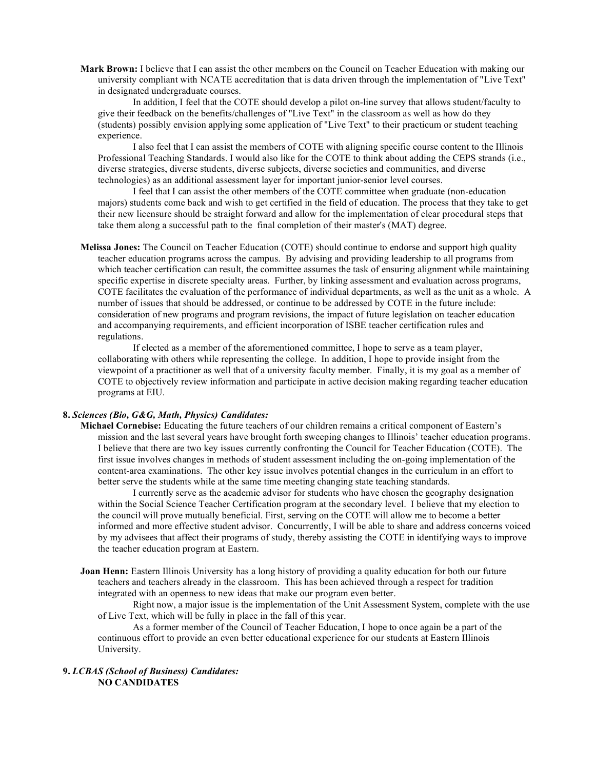**Mark Brown:** I believe that I can assist the other members on the Council on Teacher Education with making our university compliant with NCATE accreditation that is data driven through the implementation of "Live Text" in designated undergraduate courses.

In addition, I feel that the COTE should develop a pilot on-line survey that allows student/faculty to give their feedback on the benefits/challenges of "Live Text" in the classroom as well as how do they (students) possibly envision applying some application of "Live Text" to their practicum or student teaching experience.

I also feel that I can assist the members of COTE with aligning specific course content to the Illinois Professional Teaching Standards. I would also like for the COTE to think about adding the CEPS strands (i.e., diverse strategies, diverse students, diverse subjects, diverse societies and communities, and diverse technologies) as an additional assessment layer for important junior-senior level courses.

I feel that I can assist the other members of the COTE committee when graduate (non-education majors) students come back and wish to get certified in the field of education. The process that they take to get their new licensure should be straight forward and allow for the implementation of clear procedural steps that take them along a successful path to the final completion of their master's (MAT) degree.

**Melissa Jones:** The Council on Teacher Education (COTE) should continue to endorse and support high quality teacher education programs across the campus. By advising and providing leadership to all programs from which teacher certification can result, the committee assumes the task of ensuring alignment while maintaining specific expertise in discrete specialty areas. Further, by linking assessment and evaluation across programs, COTE facilitates the evaluation of the performance of individual departments, as well as the unit as a whole. A number of issues that should be addressed, or continue to be addressed by COTE in the future include: consideration of new programs and program revisions, the impact of future legislation on teacher education and accompanying requirements, and efficient incorporation of ISBE teacher certification rules and regulations.

If elected as a member of the aforementioned committee, I hope to serve as a team player, collaborating with others while representing the college. In addition, I hope to provide insight from the viewpoint of a practitioner as well that of a university faculty member. Finally, it is my goal as a member of COTE to objectively review information and participate in active decision making regarding teacher education programs at EIU.

#### **8.** *Sciences (Bio, G&G, Math, Physics) Candidates:*

**Michael Cornebise:** Educating the future teachers of our children remains a critical component of Eastern's mission and the last several years have brought forth sweeping changes to Illinois' teacher education programs. I believe that there are two key issues currently confronting the Council for Teacher Education (COTE). The first issue involves changes in methods of student assessment including the on-going implementation of the content-area examinations. The other key issue involves potential changes in the curriculum in an effort to better serve the students while at the same time meeting changing state teaching standards.

I currently serve as the academic advisor for students who have chosen the geography designation within the Social Science Teacher Certification program at the secondary level. I believe that my election to the council will prove mutually beneficial. First, serving on the COTE will allow me to become a better informed and more effective student advisor. Concurrently, I will be able to share and address concerns voiced by my advisees that affect their programs of study, thereby assisting the COTE in identifying ways to improve the teacher education program at Eastern.

**Joan Henn:** Eastern Illinois University has a long history of providing a quality education for both our future teachers and teachers already in the classroom. This has been achieved through a respect for tradition integrated with an openness to new ideas that make our program even better.

Right now, a major issue is the implementation of the Unit Assessment System, complete with the use of Live Text, which will be fully in place in the fall of this year.

As a former member of the Council of Teacher Education, I hope to once again be a part of the continuous effort to provide an even better educational experience for our students at Eastern Illinois University.

#### **9.** *LCBAS (School of Business) Candidates:* **NO CANDIDATES**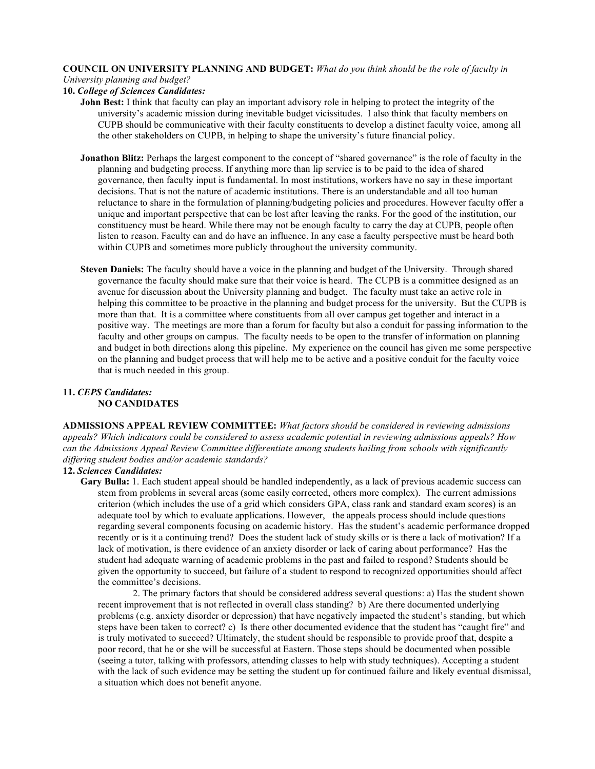#### **COUNCIL ON UNIVERSITY PLANNING AND BUDGET:** *What do you think should be the role of faculty in University planning and budget?*

## **10.** *College of Sciences Candidates:*

**John Best:** I think that faculty can play an important advisory role in helping to protect the integrity of the university's academic mission during inevitable budget vicissitudes. I also think that faculty members on CUPB should be communicative with their faculty constituents to develop a distinct faculty voice, among all the other stakeholders on CUPB, in helping to shape the university's future financial policy.

- **Jonathon Blitz:** Perhaps the largest component to the concept of "shared governance" is the role of faculty in the planning and budgeting process. If anything more than lip service is to be paid to the idea of shared governance, then faculty input is fundamental. In most institutions, workers have no say in these important decisions. That is not the nature of academic institutions. There is an understandable and all too human reluctance to share in the formulation of planning/budgeting policies and procedures. However faculty offer a unique and important perspective that can be lost after leaving the ranks. For the good of the institution, our constituency must be heard. While there may not be enough faculty to carry the day at CUPB, people often listen to reason. Faculty can and do have an influence. In any case a faculty perspective must be heard both within CUPB and sometimes more publicly throughout the university community.
- **Steven Daniels:** The faculty should have a voice in the planning and budget of the University. Through shared governance the faculty should make sure that their voice is heard. The CUPB is a committee designed as an avenue for discussion about the University planning and budget. The faculty must take an active role in helping this committee to be proactive in the planning and budget process for the university. But the CUPB is more than that. It is a committee where constituents from all over campus get together and interact in a positive way. The meetings are more than a forum for faculty but also a conduit for passing information to the faculty and other groups on campus. The faculty needs to be open to the transfer of information on planning and budget in both directions along this pipeline. My experience on the council has given me some perspective on the planning and budget process that will help me to be active and a positive conduit for the faculty voice that is much needed in this group.

#### **11.** *CEPS Candidates:* **NO CANDIDATES**

**ADMISSIONS APPEAL REVIEW COMMITTEE:** *What factors should be considered in reviewing admissions appeals? Which indicators could be considered to assess academic potential in reviewing admissions appeals? How can the Admissions Appeal Review Committee differentiate among students hailing from schools with significantly differing student bodies and/or academic standards?*

### **12.** *Sciences Candidates:*

**Gary Bulla:** 1. Each student appeal should be handled independently, as a lack of previous academic success can stem from problems in several areas (some easily corrected, others more complex). The current admissions criterion (which includes the use of a grid which considers GPA, class rank and standard exam scores) is an adequate tool by which to evaluate applications. However, the appeals process should include questions regarding several components focusing on academic history. Has the student's academic performance dropped recently or is it a continuing trend? Does the student lack of study skills or is there a lack of motivation? If a lack of motivation, is there evidence of an anxiety disorder or lack of caring about performance? Has the student had adequate warning of academic problems in the past and failed to respond? Students should be given the opportunity to succeed, but failure of a student to respond to recognized opportunities should affect the committee's decisions.

2. The primary factors that should be considered address several questions: a) Has the student shown recent improvement that is not reflected in overall class standing? b) Are there documented underlying problems (e.g. anxiety disorder or depression) that have negatively impacted the student's standing, but which steps have been taken to correct? c) Is there other documented evidence that the student has "caught fire" and is truly motivated to succeed? Ultimately, the student should be responsible to provide proof that, despite a poor record, that he or she will be successful at Eastern. Those steps should be documented when possible (seeing a tutor, talking with professors, attending classes to help with study techniques). Accepting a student with the lack of such evidence may be setting the student up for continued failure and likely eventual dismissal, a situation which does not benefit anyone.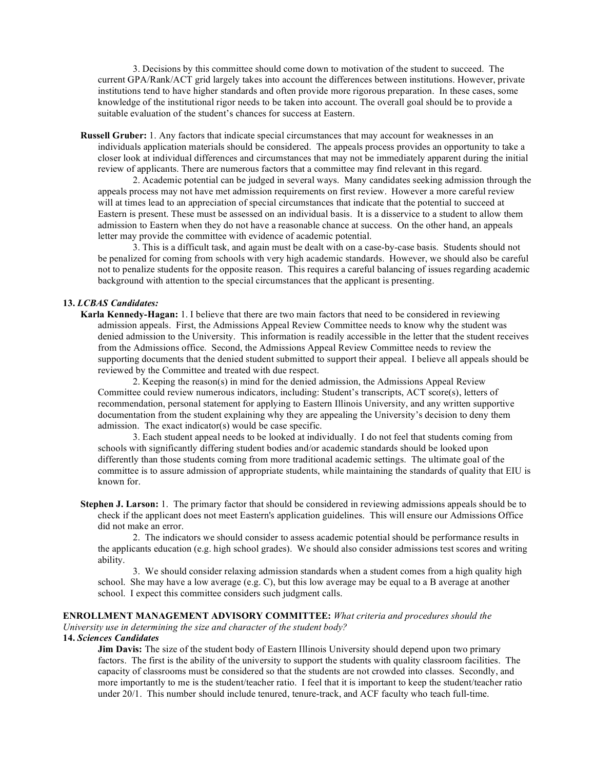3. Decisions by this committee should come down to motivation of the student to succeed. The current GPA/Rank/ACT grid largely takes into account the differences between institutions. However, private institutions tend to have higher standards and often provide more rigorous preparation. In these cases, some knowledge of the institutional rigor needs to be taken into account. The overall goal should be to provide a suitable evaluation of the student's chances for success at Eastern.

**Russell Gruber:** 1. Any factors that indicate special circumstances that may account for weaknesses in an individuals application materials should be considered. The appeals process provides an opportunity to take a closer look at individual differences and circumstances that may not be immediately apparent during the initial review of applicants. There are numerous factors that a committee may find relevant in this regard.

2. Academic potential can be judged in several ways. Many candidates seeking admission through the appeals process may not have met admission requirements on first review. However a more careful review will at times lead to an appreciation of special circumstances that indicate that the potential to succeed at Eastern is present. These must be assessed on an individual basis. It is a disservice to a student to allow them admission to Eastern when they do not have a reasonable chance at success. On the other hand, an appeals letter may provide the committee with evidence of academic potential.

3. This is a difficult task, and again must be dealt with on a case-by-case basis. Students should not be penalized for coming from schools with very high academic standards. However, we should also be careful not to penalize students for the opposite reason. This requires a careful balancing of issues regarding academic background with attention to the special circumstances that the applicant is presenting.

#### **13.** *LCBAS Candidates:*

**Karla Kennedy-Hagan:** 1. I believe that there are two main factors that need to be considered in reviewing admission appeals. First, the Admissions Appeal Review Committee needs to know why the student was denied admission to the University. This information is readily accessible in the letter that the student receives from the Admissions office. Second, the Admissions Appeal Review Committee needs to review the supporting documents that the denied student submitted to support their appeal. I believe all appeals should be reviewed by the Committee and treated with due respect.

2. Keeping the reason(s) in mind for the denied admission, the Admissions Appeal Review Committee could review numerous indicators, including: Student's transcripts, ACT score(s), letters of recommendation, personal statement for applying to Eastern Illinois University, and any written supportive documentation from the student explaining why they are appealing the University's decision to deny them admission. The exact indicator(s) would be case specific.

3. Each student appeal needs to be looked at individually. I do not feel that students coming from schools with significantly differing student bodies and/or academic standards should be looked upon differently than those students coming from more traditional academic settings. The ultimate goal of the committee is to assure admission of appropriate students, while maintaining the standards of quality that EIU is known for.

**Stephen J. Larson:** 1. The primary factor that should be considered in reviewing admissions appeals should be to check if the applicant does not meet Eastern's application guidelines. This will ensure our Admissions Office did not make an error.

2. The indicators we should consider to assess academic potential should be performance results in the applicants education (e.g. high school grades). We should also consider admissions test scores and writing ability.

3. We should consider relaxing admission standards when a student comes from a high quality high school. She may have a low average (e.g. C), but this low average may be equal to a B average at another school. I expect this committee considers such judgment calls.

#### **ENROLLMENT MANAGEMENT ADVISORY COMMITTEE:** *What criteria and procedures should the*

*University use in determining the size and character of the student body?*

#### **14.** *Sciences Candidates*

**Jim Davis:** The size of the student body of Eastern Illinois University should depend upon two primary factors. The first is the ability of the university to support the students with quality classroom facilities. The capacity of classrooms must be considered so that the students are not crowded into classes. Secondly, and more importantly to me is the student/teacher ratio. I feel that it is important to keep the student/teacher ratio under 20/1. This number should include tenured, tenure-track, and ACF faculty who teach full-time.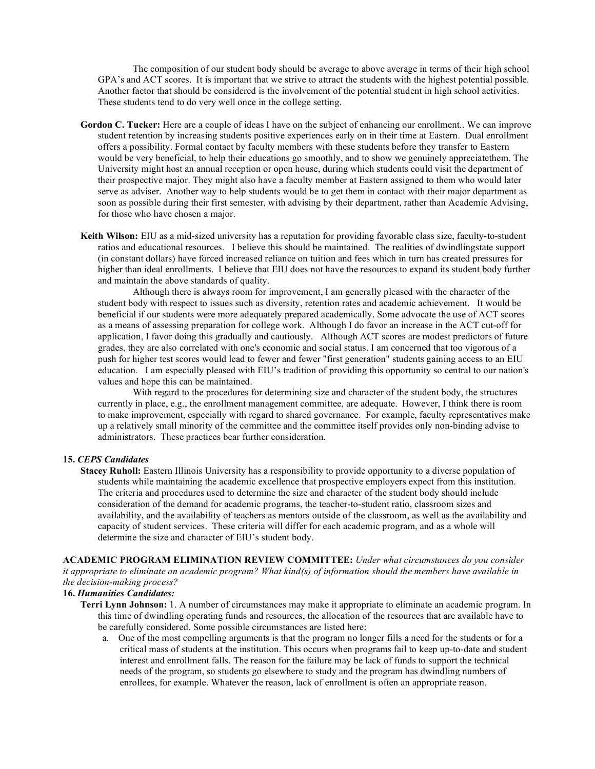The composition of our student body should be average to above average in terms of their high school GPA's and ACT scores. It is important that we strive to attract the students with the highest potential possible. Another factor that should be considered is the involvement of the potential student in high school activities. These students tend to do very well once in the college setting.

- **Gordon C. Tucker:** Here are a couple of ideas I have on the subject of enhancing our enrollment.. We can improve student retention by increasing students positive experiences early on in their time at Eastern. Dual enrollment offers a possibility. Formal contact by faculty members with these students before they transfer to Eastern would be very beneficial, to help their educations go smoothly, and to show we genuinely appreciatethem. The University might host an annual reception or open house, during which students could visit the department of their prospective major. They might also have a faculty member at Eastern assigned to them who would later serve as adviser. Another way to help students would be to get them in contact with their major department as soon as possible during their first semester, with advising by their department, rather than Academic Advising, for those who have chosen a major.
- **Keith Wilson:** EIU as a mid-sized university has a reputation for providing favorable class size, faculty-to-student ratios and educational resources. I believe this should be maintained. The realities of dwindlingstate support (in constant dollars) have forced increased reliance on tuition and fees which in turn has created pressures for higher than ideal enrollments. I believe that EIU does not have the resources to expand its student body further and maintain the above standards of quality.

Although there is always room for improvement, I am generally pleased with the character of the student body with respect to issues such as diversity, retention rates and academic achievement. It would be beneficial if our students were more adequately prepared academically. Some advocate the use of ACT scores as a means of assessing preparation for college work. Although I do favor an increase in the ACT cut-off for application, I favor doing this gradually and cautiously. Although ACT scores are modest predictors of future grades, they are also correlated with one's economic and social status. I am concerned that too vigorous of a push for higher test scores would lead to fewer and fewer "first generation" students gaining access to an EIU education. I am especially pleased with EIU's tradition of providing this opportunity so central to our nation's values and hope this can be maintained.

With regard to the procedures for determining size and character of the student body, the structures currently in place, e.g., the enrollment management committee, are adequate. However, I think there is room to make improvement, especially with regard to shared governance. For example, faculty representatives make up a relatively small minority of the committee and the committee itself provides only non-binding advise to administrators. These practices bear further consideration.

#### **15.** *CEPS Candidates*

**Stacey Ruholl:** Eastern Illinois University has a responsibility to provide opportunity to a diverse population of students while maintaining the academic excellence that prospective employers expect from this institution. The criteria and procedures used to determine the size and character of the student body should include consideration of the demand for academic programs, the teacher-to-student ratio, classroom sizes and availability, and the availability of teachers as mentors outside of the classroom, as well as the availability and capacity of student services. These criteria will differ for each academic program, and as a whole will determine the size and character of EIU's student body.

**ACADEMIC PROGRAM ELIMINATION REVIEW COMMITTEE:** *Under what circumstances do you consider* it appropriate to eliminate an academic program? What kind(s) of information should the members have available in *the decision-making process?*

#### **16.** *Humanities Candidates:*

- **Terri Lynn Johnson:** 1. A number of circumstances may make it appropriate to eliminate an academic program. In this time of dwindling operating funds and resources, the allocation of the resources that are available have to be carefully considered. Some possible circumstances are listed here:
	- a. One of the most compelling arguments is that the program no longer fills a need for the students or for a critical mass of students at the institution. This occurs when programs fail to keep up-to-date and student interest and enrollment falls. The reason for the failure may be lack of funds to support the technical needs of the program, so students go elsewhere to study and the program has dwindling numbers of enrollees, for example. Whatever the reason, lack of enrollment is often an appropriate reason.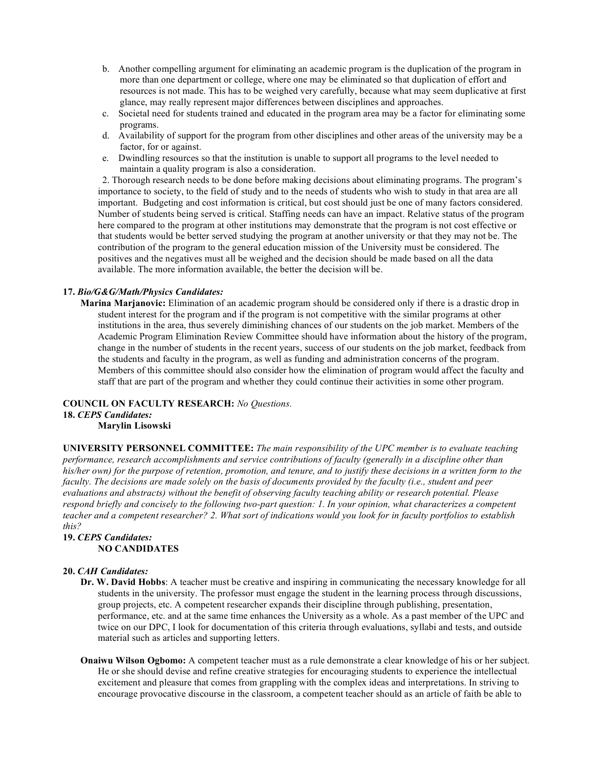- b. Another compelling argument for eliminating an academic program is the duplication of the program in more than one department or college, where one may be eliminated so that duplication of effort and resources is not made. This has to be weighed very carefully, because what may seem duplicative at first glance, may really represent major differences between disciplines and approaches.
- c. Societal need for students trained and educated in the program area may be a factor for eliminating some programs.
- d. Availability of support for the program from other disciplines and other areas of the university may be a factor, for or against.
- e. Dwindling resources so that the institution is unable to support all programs to the level needed to maintain a quality program is also a consideration.

2. Thorough research needs to be done before making decisions about eliminating programs. The program's importance to society, to the field of study and to the needs of students who wish to study in that area are all important. Budgeting and cost information is critical, but cost should just be one of many factors considered. Number of students being served is critical. Staffing needs can have an impact. Relative status of the program here compared to the program at other institutions may demonstrate that the program is not cost effective or that students would be better served studying the program at another university or that they may not be. The contribution of the program to the general education mission of the University must be considered. The positives and the negatives must all be weighed and the decision should be made based on all the data available. The more information available, the better the decision will be.

#### **17.** *Bio/G&G/Math/Physics Candidates:*

**Marina Marjanovic:** Elimination of an academic program should be considered only if there is a drastic drop in student interest for the program and if the program is not competitive with the similar programs at other institutions in the area, thus severely diminishing chances of our students on the job market. Members of the Academic Program Elimination Review Committee should have information about the history of the program, change in the number of students in the recent years, success of our students on the job market, feedback from the students and faculty in the program, as well as funding and administration concerns of the program. Members of this committee should also consider how the elimination of program would affect the faculty and staff that are part of the program and whether they could continue their activities in some other program.

## **COUNCIL ON FACULTY RESEARCH:** *No Questions.*

## **18.** *CEPS Candidates:*

#### **Marylin Lisowski**

**UNIVERSITY PERSONNEL COMMITTEE:** *The main responsibility of the UPC member is to evaluate teaching performance, research accomplishments and service contributions of faculty (generally in a discipline other than* his/her own) for the purpose of retention, promotion, and tenure, and to justify these decisions in a written form to the faculty. The decisions are made solely on the basis of documents provided by the faculty (i.e., student and peer *evaluations and abstracts) without the benefit of observing faculty teaching ability or research potential. Please* respond briefly and concisely to the following two-part question: 1. In your opinion, what characterizes a competent teacher and a competent researcher? 2. What sort of indications would you look for in faculty portfolios to establish *this?*

#### **19.** *CEPS Candidates:* **NO CANDIDATES**

#### **20.** *CAH Candidates:*

- **Dr. W. David Hobbs**: A teacher must be creative and inspiring in communicating the necessary knowledge for all students in the university. The professor must engage the student in the learning process through discussions, group projects, etc. A competent researcher expands their discipline through publishing, presentation, performance, etc. and at the same time enhances the University as a whole. As a past member of the UPC and twice on our DPC, I look for documentation of this criteria through evaluations, syllabi and tests, and outside material such as articles and supporting letters.
- **Onaiwu Wilson Ogbomo:** A competent teacher must as a rule demonstrate a clear knowledge of his or her subject. He or she should devise and refine creative strategies for encouraging students to experience the intellectual excitement and pleasure that comes from grappling with the complex ideas and interpretations. In striving to encourage provocative discourse in the classroom, a competent teacher should as an article of faith be able to